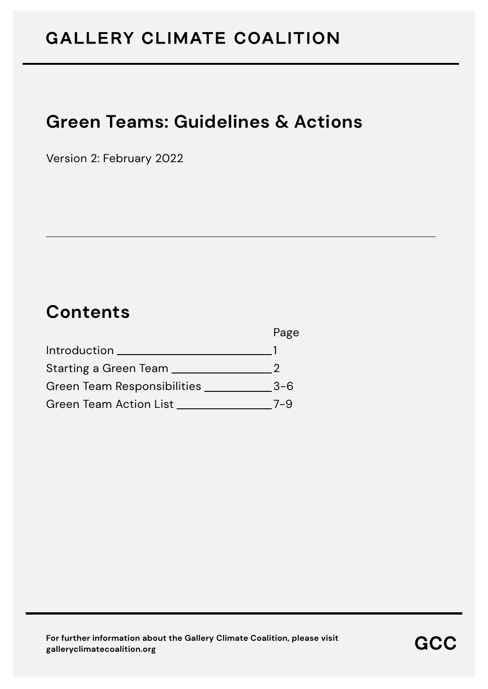# **Green Teams: Guidelines & Actions**

Version 2: February 2022

## **Contents**

|                               | Page    |
|-------------------------------|---------|
| Introduction                  |         |
| Starting a Green Team         |         |
| Green Team Responsibilities   | $3 - 6$ |
| <b>Green Team Action List</b> | 7–9     |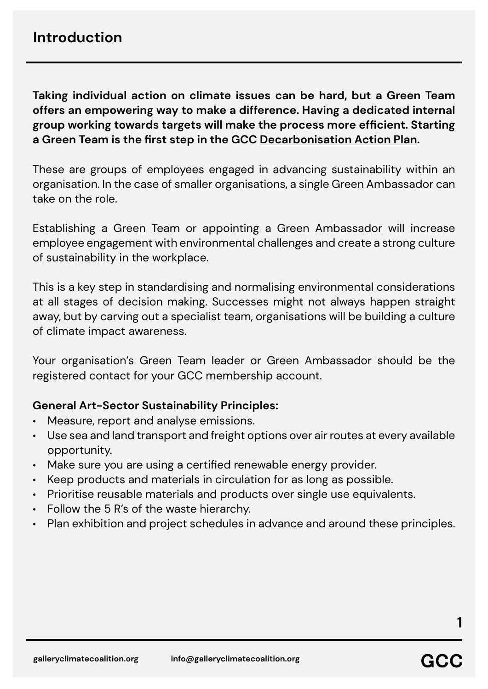**Taking individual action on climate issues can be hard, but a Green Team offers an empowering way to make a difference. Having a dedicated internal group working towards targets will make the process more efficient. Starting a Green Team is the first step in the GCC [Decarbonisation Action Plan](https://galleryclimatecoalition.org/usr/library/documents/main/gcc_decarbonisation_action_plan_2021.pdf).** 

These are groups of employees engaged in advancing sustainability within an organisation. In the case of smaller organisations, a single Green Ambassador can take on the role.

Establishing a Green Team or appointing a Green Ambassador will increase employee engagement with environmental challenges and create a strong culture of sustainability in the workplace.

This is a key step in standardising and normalising environmental considerations at all stages of decision making. Successes might not always happen straight away, but by carving out a specialist team, organisations will be building a culture of climate impact awareness.

Your organisation's Green Team leader or Green Ambassador should be the registered contact for your GCC membership account.

#### **General Art-Sector Sustainability Principles:**

- Measure, report and analyse emissions.
- Use sea and land transport and freight options over air routes at every available opportunity.
- Make sure you are using a certified renewable energy provider.
- Keep products and materials in circulation for as long as possible.
- Prioritise reusable materials and products over single use equivalents.
- Follow the 5 R's of the waste hierarchy.
- Plan exhibition and project schedules in advance and around these principles.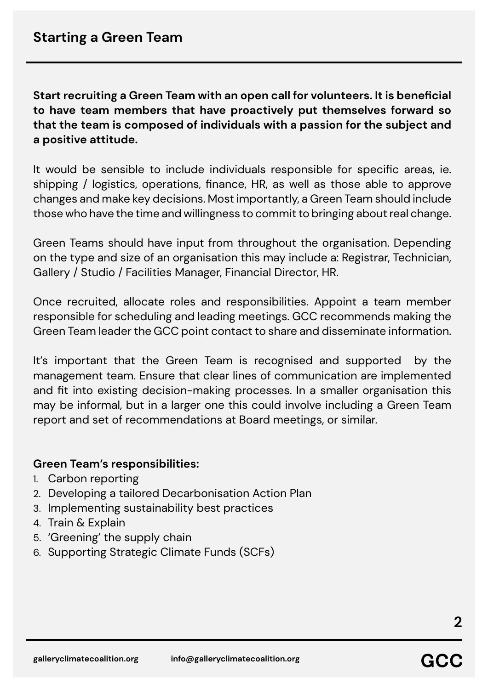**Start recruiting a Green Team with an open call for volunteers. It is beneficial to have team members that have proactively put themselves forward so that the team is composed of individuals with a passion for the subject and a positive attitude.** 

It would be sensible to include individuals responsible for specific areas, ie. shipping / logistics, operations, finance, HR, as well as those able to approve changes and make key decisions. Most importantly, a Green Team should include those who have the time and willingness to commit to bringing about real change.

Green Teams should have input from throughout the organisation. Depending on the type and size of an organisation this may include a: Registrar, Technician, Gallery / Studio / Facilities Manager, Financial Director, HR.

Once recruited, allocate roles and responsibilities. Appoint a team member responsible for scheduling and leading meetings. GCC recommends making the Green Team leader the GCC point contact to share and disseminate information.

It's important that the Green Team is recognised and supported by the management team. Ensure that clear lines of communication are implemented and fit into existing decision-making processes. In a smaller organisation this may be informal, but in a larger one this could involve including a Green Team report and set of recommendations at Board meetings, or similar.

#### **Green Team's responsibilities:**

- 1. Carbon reporting
- 2. Developing a tailored Decarbonisation Action Plan
- 3. Implementing sustainability best practices
- 4. Train & Explain
- 5. 'Greening' the supply chain
- 6. Supporting Strategic Climate Funds (SCFs)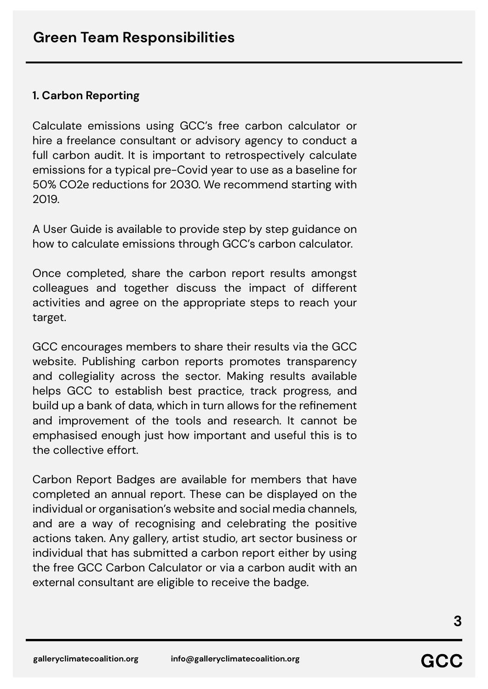#### **1. Carbon Reporting**

Calculate emissions using GCC's free carbon calculator or hire a freelance consultant or advisory agency to conduct a full carbon audit. It is important to retrospectively calculate emissions for a typical pre-Covid year to use as a baseline for 50% CO2e reductions for 2030. We recommend starting with 2019.

A User Guide is available to provide step by step guidance on how to calculate emissions through GCC's carbon calculator.

Once completed, share the carbon report results amongst colleagues and together discuss the impact of different activities and agree on the appropriate steps to reach your target.

GCC encourages members to share their results via the GCC website. Publishing carbon reports promotes transparency and collegiality across the sector. Making results available helps GCC to establish best practice, track progress, and build up a bank of data, which in turn allows for the refinement and improvement of the tools and research. It cannot be emphasised enough just how important and useful this is to the collective effort.

Carbon Report Badges are available for members that have completed an annual report. These can be displayed on the individual or organisation's website and social media channels, and are a way of recognising and celebrating the positive actions taken. Any gallery, artist studio, art sector business or individual that has submitted a carbon report either by using the free GCC Carbon Calculator or via a carbon audit with an external consultant are eligible to receive the badge.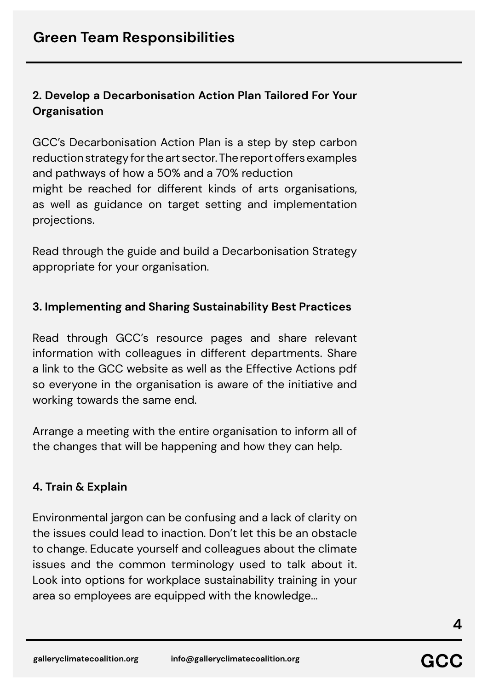### **2. Develop a Decarbonisation Action Plan Tailored For Your Organisation**

GCC's Decarbonisation Action Plan is a step by step carbon reduction strategy for the art sector. The report offers examples and pathways of how a 50% and a 70% reduction might be reached for different kinds of arts organisations, as well as guidance on target setting and implementation projections.

Read through the guide and build a Decarbonisation Strategy appropriate for your organisation.

#### **3. Implementing and Sharing Sustainability Best Practices**

Read through GCC's resource pages and share relevant information with colleagues in different departments. Share a link to the GCC website as well as the Effective Actions pdf so everyone in the organisation is aware of the initiative and working towards the same end.

Arrange a meeting with the entire organisation to inform all of the changes that will be happening and how they can help.

#### **4. Train & Explain**

Environmental jargon can be confusing and a lack of clarity on the issues could lead to inaction. Don't let this be an obstacle to change. Educate yourself and colleagues about the climate issues and the common terminology used to talk about it. Look into options for workplace sustainability training in your area so employees are equipped with the knowledge...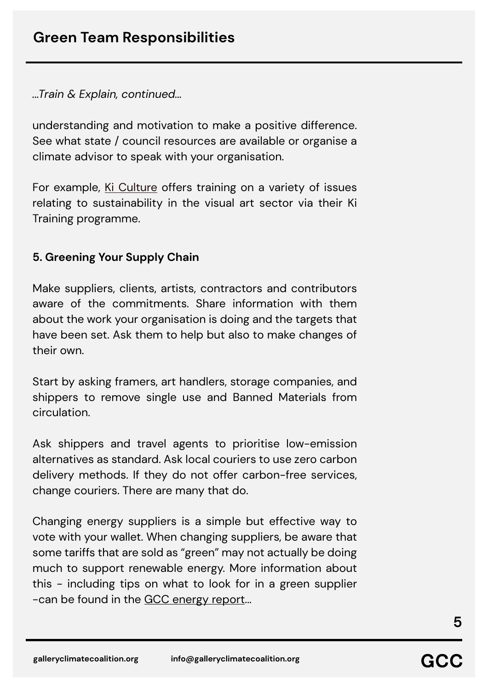*...Train & Explain, continued...*

understanding and motivation to make a positive difference. See what state / council resources are available or organise a climate advisor to speak with your organisation.

For example, [Ki Culture](https://www.kiculture.org/) offers training on a variety of issues relating to sustainability in the visual art sector via their Ki Training programme.

#### **5. Greening Your Supply Chain**

Make suppliers, clients, artists, contractors and contributors aware of the commitments. Share information with them about the work your organisation is doing and the targets that have been set. Ask them to help but also to make changes of their own.

Start by asking framers, art handlers, storage companies, and shippers to remove single use and Banned Materials from circulation.

Ask shippers and travel agents to prioritise low-emission alternatives as standard. Ask local couriers to use zero carbon delivery methods. If they do not offer carbon-free services, change couriers. There are many that do.

Changing energy suppliers is a simple but effective way to vote with your wallet. When changing suppliers, be aware that some tariffs that are sold as "green" may not actually be doing much to support renewable energy. More information about this - including tips on what to look for in a green supplier -can be found in the [GCC energy report.](https://galleryclimatecoalition.org/news/44-gcc-commissioned-report-green-energy-suppliers-and-the/)..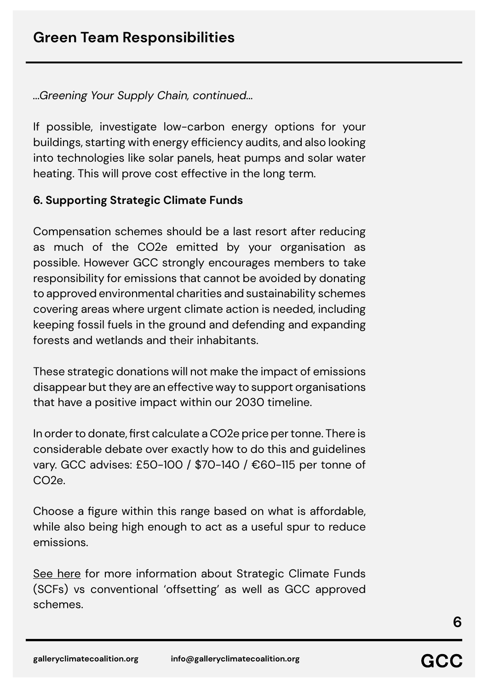*...Greening Your Supply Chain, continued...*

If possible, investigate low-carbon energy options for your buildings, starting with energy efficiency audits, and also looking into technologies like solar panels, heat pumps and solar water heating. This will prove cost effective in the long term.

#### **6. Supporting Strategic Climate Funds**

Compensation schemes should be a last resort after reducing as much of the CO2e emitted by your organisation as possible. However GCC strongly encourages members to take responsibility for emissions that cannot be avoided by donating to approved environmental charities and sustainability schemes covering areas where urgent climate action is needed, including keeping fossil fuels in the ground and defending and expanding forests and wetlands and their inhabitants.

These strategic donations will not make the impact of emissions disappear but they are an effective way to support organisations that have a positive impact within our 2030 timeline.

In order to donate, first calculate a CO2e price per tonne. There is considerable debate over exactly how to do this and guidelines vary. GCC advises: £50-100 / \$70-140 / €60-115 per tonne of  $C<sub>O2e</sub>$ 

Choose a figure within this range based on what is affordable, while also being high enough to act as a useful spur to reduce emissions.

[See here](https://galleryclimatecoalition.org/scfs/) for more information about Strategic Climate Funds (SCFs) vs conventional 'offsetting' as well as GCC approved schemes.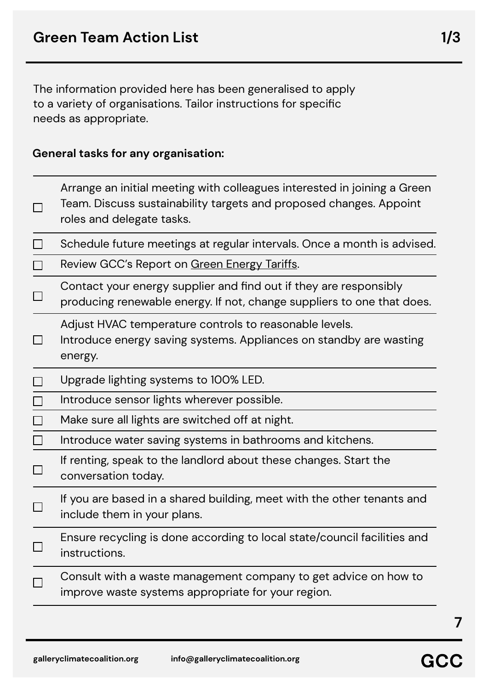The information provided here has been generalised to apply to a variety of organisations. Tailor instructions for specific needs as appropriate.

#### **General tasks for any organisation:**

| $\Box$ | Arrange an initial meeting with colleagues interested in joining a Green<br>Team. Discuss sustainability targets and proposed changes. Appoint<br>roles and delegate tasks. |
|--------|-----------------------------------------------------------------------------------------------------------------------------------------------------------------------------|
| $\Box$ | Schedule future meetings at regular intervals. Once a month is advised.                                                                                                     |
| $\Box$ | Review GCC's Report on Green Energy Tariffs.                                                                                                                                |
| $\Box$ | Contact your energy supplier and find out if they are responsibly<br>producing renewable energy. If not, change suppliers to one that does.                                 |
| $\Box$ | Adjust HVAC temperature controls to reasonable levels.<br>Introduce energy saving systems. Appliances on standby are wasting<br>energy.                                     |
| $\Box$ | Upgrade lighting systems to 100% LED.                                                                                                                                       |
| $\Box$ | Introduce sensor lights wherever possible.                                                                                                                                  |
| $\Box$ | Make sure all lights are switched off at night.                                                                                                                             |
| $\Box$ | Introduce water saving systems in bathrooms and kitchens.                                                                                                                   |
| $\Box$ | If renting, speak to the landlord about these changes. Start the<br>conversation today.                                                                                     |
| $\Box$ | If you are based in a shared building, meet with the other tenants and<br>include them in your plans.                                                                       |
|        | Ensure recycling is done according to local state/council facilities and<br>instructions.                                                                                   |
|        | Consult with a waste management company to get advice on how to<br>improve waste systems appropriate for your region.                                                       |
|        |                                                                                                                                                                             |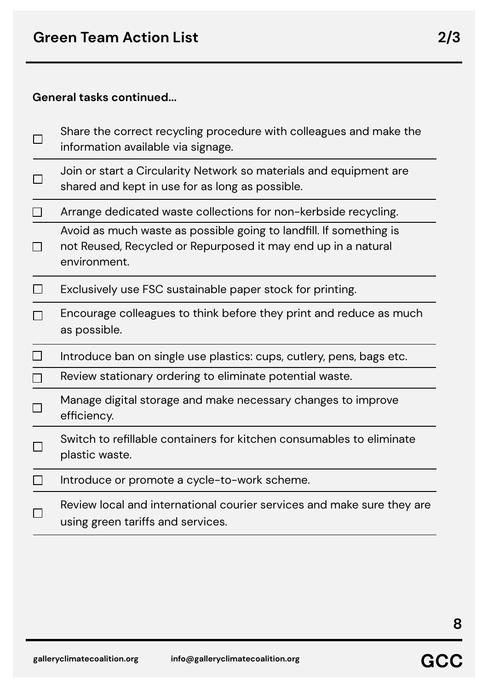#### **General tasks continued...**

|        | Share the correct recycling procedure with colleagues and make the<br>information available via signage.                                            |
|--------|-----------------------------------------------------------------------------------------------------------------------------------------------------|
|        | Join or start a Circularity Network so materials and equipment are<br>shared and kept in use for as long as possible.                               |
|        | Arrange dedicated waste collections for non-kerbside recycling.                                                                                     |
|        | Avoid as much waste as possible going to landfill. If something is<br>not Reused, Recycled or Repurposed it may end up in a natural<br>environment. |
|        | Exclusively use FSC sustainable paper stock for printing.                                                                                           |
|        | Encourage colleagues to think before they print and reduce as much<br>as possible.                                                                  |
| $\Box$ | Introduce ban on single use plastics: cups, cutlery, pens, bags etc.                                                                                |
|        | Review stationary ordering to eliminate potential waste.                                                                                            |
|        | Manage digital storage and make necessary changes to improve<br>efficiency.                                                                         |
|        | Switch to refillable containers for kitchen consumables to eliminate<br>plastic waste.                                                              |
|        | Introduce or promote a cycle-to-work scheme.                                                                                                        |
|        | Review local and international courier services and make sure they are<br>using green tariffs and services.                                         |
|        |                                                                                                                                                     |